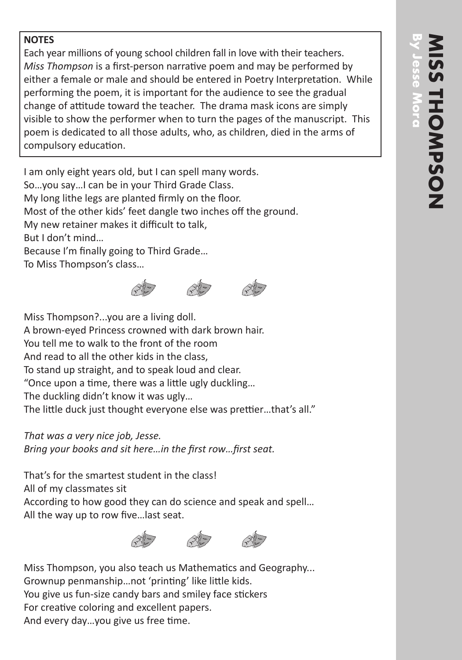## **NOTES**

Each year millions of young school children fall in love with their teachers. *Miss Thompson* is a first-person narrative poem and may be performed by either a female or male and should be entered in Poetry Interpretation. While performing the poem, it is important for the audience to see the gradual change of attitude toward the teacher. The drama mask icons are simply visible to show the performer when to turn the pages of the manuscript. This poem is dedicated to all those adults, who, as children, died in the arms of compulsory education.

I am only eight years old, but I can spell many words. So…you say…I can be in your Third Grade Class. My long lithe legs are planted firmly on the floor. Most of the other kids' feet dangle two inches off the ground. My new retainer makes it difficult to talk, But I don't mind… Because I'm finally going to Third Grade… To Miss Thompson's class…



Miss Thompson?...you are a living doll. A brown-eyed Princess crowned with dark brown hair. You tell me to walk to the front of the room And read to all the other kids in the class, To stand up straight, and to speak loud and clear. "Once upon a time, there was a little ugly duckling… The duckling didn't know it was ugly… The little duck just thought everyone else was prettier…that's all."

*That was a very nice job, Jesse. Bring your books and sit here…in the first row…first seat.*

That's for the smartest student in the class! All of my classmates sit According to how good they can do science and speak and spell… All the way up to row five…last seat.



Miss Thompson, you also teach us Mathematics and Geography... Grownup penmanship…not 'printing' like little kids. You give us fun-size candy bars and smiley face stickers For creative coloring and excellent papers. And every day…you give us free time.